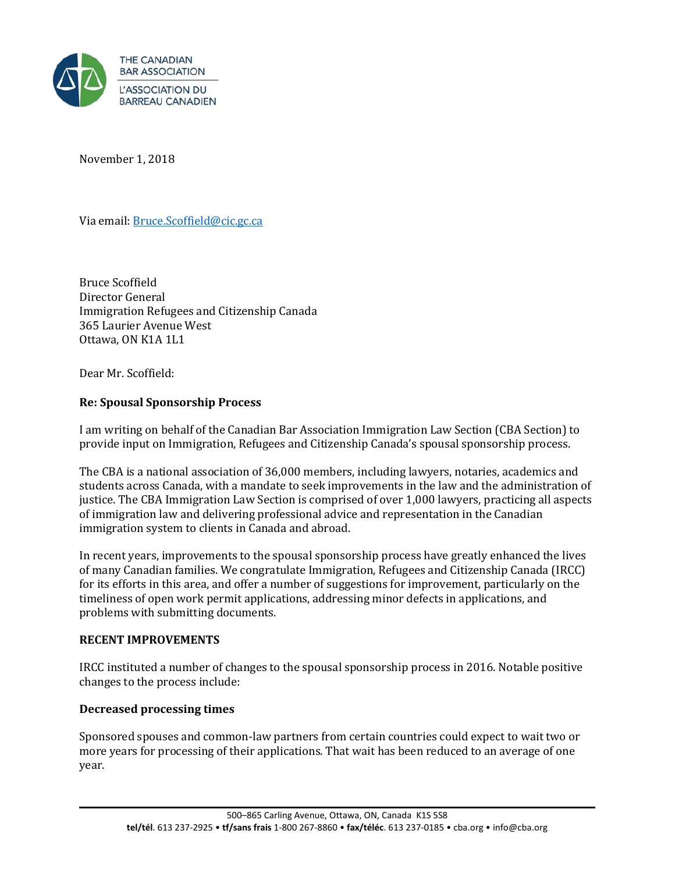

November 1, 2018

Via email: [Bruce.Scoffield@cic.gc.ca](mailto:Bruce.Scoffield@cic.gc.ca) 

Bruce Scoffield Director General Immigration Refugees and Citizenship Canada 365 Laurier Avenue West Ottawa, ON K1A 1L1

Dear Mr. Scoffield:

## **Re: Spousal Sponsorship Process**

I am writing on behalf of the Canadian Bar Association Immigration Law Section (CBA Section) to provide input on Immigration, Refugees and Citizenship Canada's spousal sponsorship process.

The CBA is a national association of 36,000 members, including lawyers, notaries, academics and students across Canada, with a mandate to seek improvements in the law and the administration of justice. The CBA Immigration Law Section is comprised of over 1,000 lawyers, practicing all aspects of immigration law and delivering professional advice and representation in the Canadian immigration system to clients in Canada and abroad.

In recent years, improvements to the spousal sponsorship process have greatly enhanced the lives of many Canadian families. We congratulate Immigration, Refugees and Citizenship Canada (IRCC) for its efforts in this area, and offer a number of suggestions for improvement, particularly on the timeliness of open work permit applications, addressing minor defects in applications, and problems with submitting documents.

### **RECENT IMPROVEMENTS**

IRCC instituted a number of changes to the spousal sponsorship process in 2016. Notable positive changes to the process include:

# **Decreased processing times**

Sponsored spouses and common-law partners from certain countries could expect to wait two or more years for processing of their applications. That wait has been reduced to an average of one year.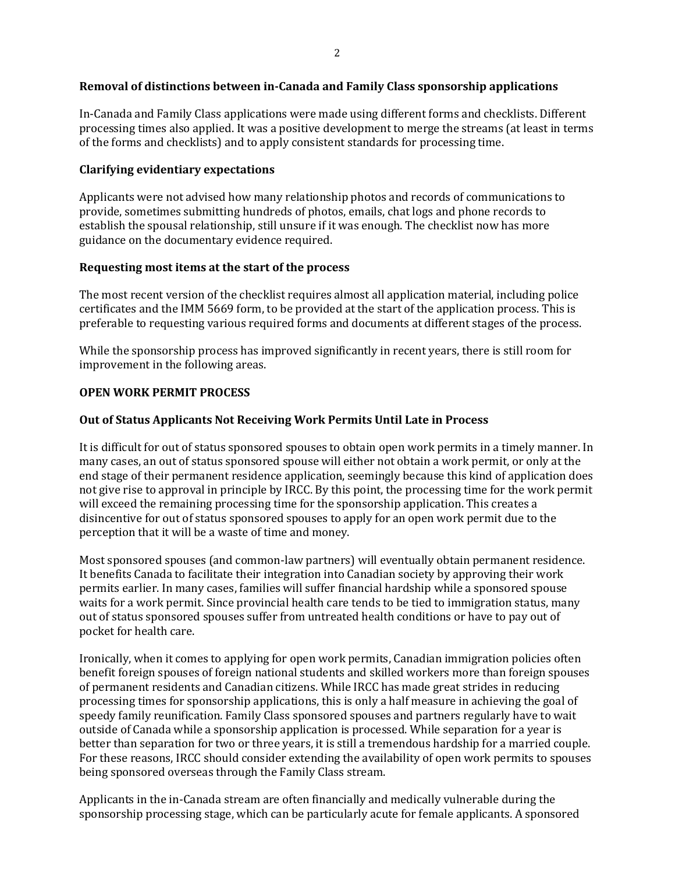### **Removal of distinctions between in-Canada and Family Class sponsorship applications**

In-Canada and Family Class applications were made using different forms and checklists. Different processing times also applied. It was a positive development to merge the streams (at least in terms of the forms and checklists) and to apply consistent standards for processing time.

### **Clarifying evidentiary expectations**

Applicants were not advised how many relationship photos and records of communications to provide, sometimes submitting hundreds of photos, emails, chat logs and phone records to establish the spousal relationship, still unsure if it was enough. The checklist now has more guidance on the documentary evidence required.

#### **Requesting most items at the start of the process**

The most recent version of the checklist requires almost all application material, including police certificates and the IMM 5669 form, to be provided at the start of the application process. This is preferable to requesting various required forms and documents at different stages of the process.

While the sponsorship process has improved significantly in recent years, there is still room for improvement in the following areas.

#### **OPEN WORK PERMIT PROCESS**

#### **Out of Status Applicants Not Receiving Work Permits Until Late in Process**

It is difficult for out of status sponsored spouses to obtain open work permits in a timely manner. In many cases, an out of status sponsored spouse will either not obtain a work permit, or only at the end stage of their permanent residence application, seemingly because this kind of application does not give rise to approval in principle by IRCC. By this point, the processing time for the work permit will exceed the remaining processing time for the sponsorship application. This creates a disincentive for out of status sponsored spouses to apply for an open work permit due to the perception that it will be a waste of time and money.

Most sponsored spouses (and common-law partners) will eventually obtain permanent residence. It benefits Canada to facilitate their integration into Canadian society by approving their work permits earlier. In many cases, families will suffer financial hardship while a sponsored spouse waits for a work permit. Since provincial health care tends to be tied to immigration status, many out of status sponsored spouses suffer from untreated health conditions or have to pay out of pocket for health care.

Ironically, when it comes to applying for open work permits, Canadian immigration policies often benefit foreign spouses of foreign national students and skilled workers more than foreign spouses of permanent residents and Canadian citizens. While IRCC has made great strides in reducing processing times for sponsorship applications, this is only a half measure in achieving the goal of speedy family reunification. Family Class sponsored spouses and partners regularly have to wait outside of Canada while a sponsorship application is processed. While separation for a year is better than separation for two or three years, it is still a tremendous hardship for a married couple. For these reasons, IRCC should consider extending the availability of open work permits to spouses being sponsored overseas through the Family Class stream.

Applicants in the in-Canada stream are often financially and medically vulnerable during the sponsorship processing stage, which can be particularly acute for female applicants. A sponsored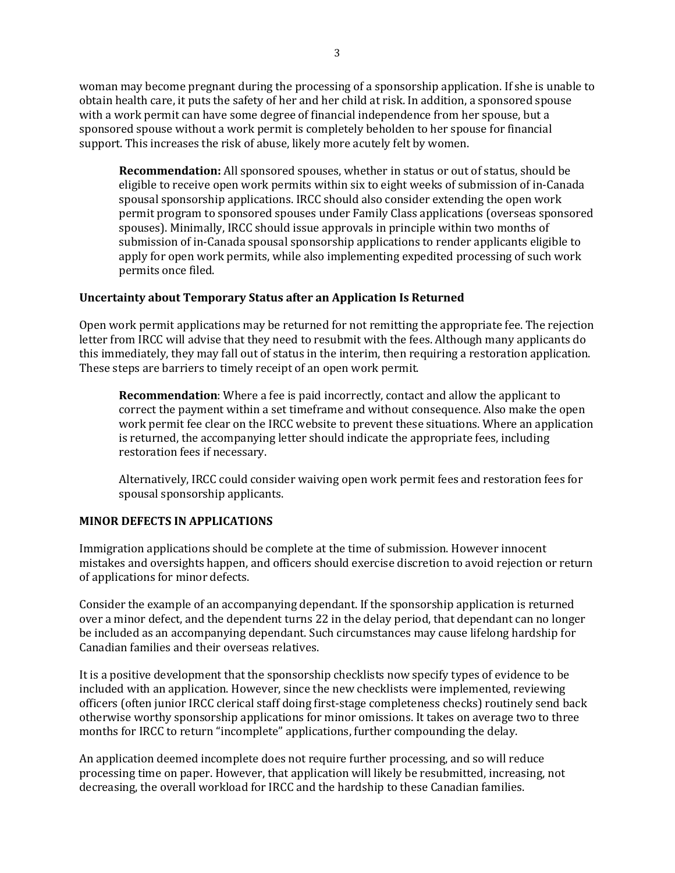woman may become pregnant during the processing of a sponsorship application. If she is unable to obtain health care, it puts the safety of her and her child at risk. In addition, a sponsored spouse with a work permit can have some degree of financial independence from her spouse, but a sponsored spouse without a work permit is completely beholden to her spouse for financial support. This increases the risk of abuse, likely more acutely felt by women.

**Recommendation:** All sponsored spouses, whether in status or out of status, should be eligible to receive open work permits within six to eight weeks of submission of in-Canada spousal sponsorship applications. IRCC should also consider extending the open work permit program to sponsored spouses under Family Class applications (overseas sponsored spouses). Minimally, IRCC should issue approvals in principle within two months of submission of in-Canada spousal sponsorship applications to render applicants eligible to apply for open work permits, while also implementing expedited processing of such work permits once filed.

# **Uncertainty about Temporary Status after an Application Is Returned**

Open work permit applications may be returned for not remitting the appropriate fee. The rejection letter from IRCC will advise that they need to resubmit with the fees. Although many applicants do this immediately, they may fall out of status in the interim, then requiring a restoration application. These steps are barriers to timely receipt of an open work permit.

**Recommendation**: Where a fee is paid incorrectly, contact and allow the applicant to correct the payment within a set timeframe and without consequence. Also make the open work permit fee clear on the IRCC website to prevent these situations. Where an application is returned, the accompanying letter should indicate the appropriate fees, including restoration fees if necessary.

Alternatively, IRCC could consider waiving open work permit fees and restoration fees for spousal sponsorship applicants.

# **MINOR DEFECTS IN APPLICATIONS**

Immigration applications should be complete at the time of submission. However innocent mistakes and oversights happen, and officers should exercise discretion to avoid rejection or return of applications for minor defects.

Consider the example of an accompanying dependant. If the sponsorship application is returned over a minor defect, and the dependent turns 22 in the delay period, that dependant can no longer be included as an accompanying dependant. Such circumstances may cause lifelong hardship for Canadian families and their overseas relatives.

It is a positive development that the sponsorship checklists now specify types of evidence to be included with an application. However, since the new checklists were implemented, reviewing officers (often junior IRCC clerical staff doing first-stage completeness checks) routinely send back otherwise worthy sponsorship applications for minor omissions. It takes on average two to three months for IRCC to return "incomplete" applications, further compounding the delay.

An application deemed incomplete does not require further processing, and so will reduce processing time on paper. However, that application will likely be resubmitted, increasing, not decreasing, the overall workload for IRCC and the hardship to these Canadian families.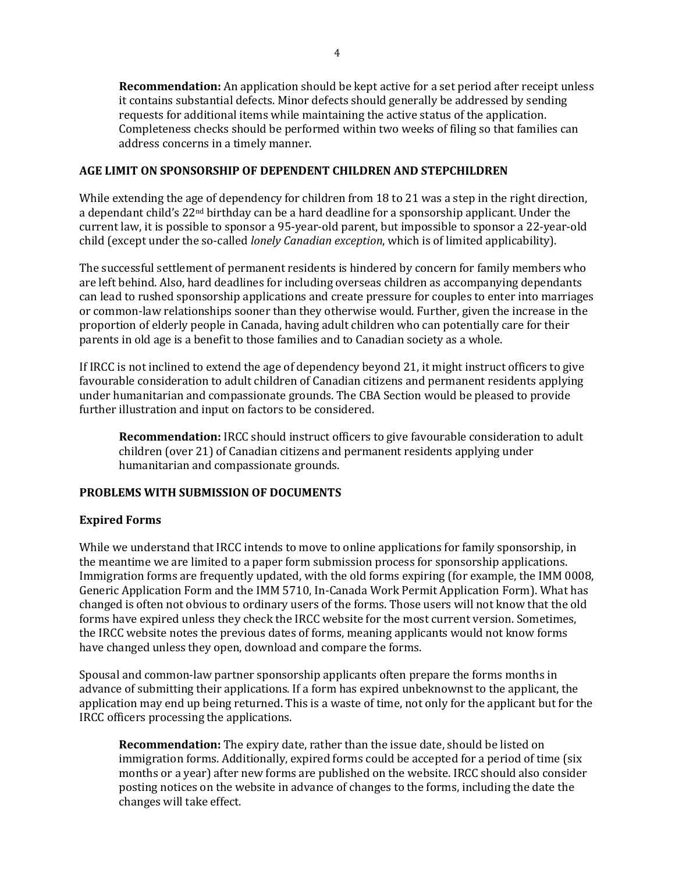**Recommendation:** An application should be kept active for a set period after receipt unless it contains substantial defects. Minor defects should generally be addressed by sending requests for additional items while maintaining the active status of the application. Completeness checks should be performed within two weeks of filing so that families can address concerns in a timely manner.

## **AGE LIMIT ON SPONSORSHIP OF DEPENDENT CHILDREN AND STEPCHILDREN**

While extending the age of dependency for children from 18 to 21 was a step in the right direction, a dependant child's 22nd birthday can be a hard deadline for a sponsorship applicant. Under the current law, it is possible to sponsor a 95-year-old parent, but impossible to sponsor a 22-year-old child (except under the so-called *lonely Canadian exception*, which is of limited applicability).

The successful settlement of permanent residents is hindered by concern for family members who are left behind. Also, hard deadlines for including overseas children as accompanying dependants can lead to rushed sponsorship applications and create pressure for couples to enter into marriages or common-law relationships sooner than they otherwise would. Further, given the increase in the proportion of elderly people in Canada, having adult children who can potentially care for their parents in old age is a benefit to those families and to Canadian society as a whole.

If IRCC is not inclined to extend the age of dependency beyond 21, it might instruct officers to give favourable consideration to adult children of Canadian citizens and permanent residents applying under humanitarian and compassionate grounds. The CBA Section would be pleased to provide further illustration and input on factors to be considered.

**Recommendation:** IRCC should instruct officers to give favourable consideration to adult children (over 21) of Canadian citizens and permanent residents applying under humanitarian and compassionate grounds.

# **PROBLEMS WITH SUBMISSION OF DOCUMENTS**

# **Expired Forms**

While we understand that IRCC intends to move to online applications for family sponsorship, in the meantime we are limited to a paper form submission process for sponsorship applications. Immigration forms are frequently updated, with the old forms expiring (for example, the IMM 0008, Generic Application Form and the IMM 5710, In-Canada Work Permit Application Form). What has changed is often not obvious to ordinary users of the forms. Those users will not know that the old forms have expired unless they check the IRCC website for the most current version. Sometimes, the IRCC website notes the previous dates of forms, meaning applicants would not know forms have changed unless they open, download and compare the forms.

Spousal and common-law partner sponsorship applicants often prepare the forms months in advance of submitting their applications. If a form has expired unbeknownst to the applicant, the application may end up being returned. This is a waste of time, not only for the applicant but for the IRCC officers processing the applications.

**Recommendation:** The expiry date, rather than the issue date, should be listed on immigration forms. Additionally, expired forms could be accepted for a period of time (six months or a year) after new forms are published on the website. IRCC should also consider posting notices on the website in advance of changes to the forms, including the date the changes will take effect.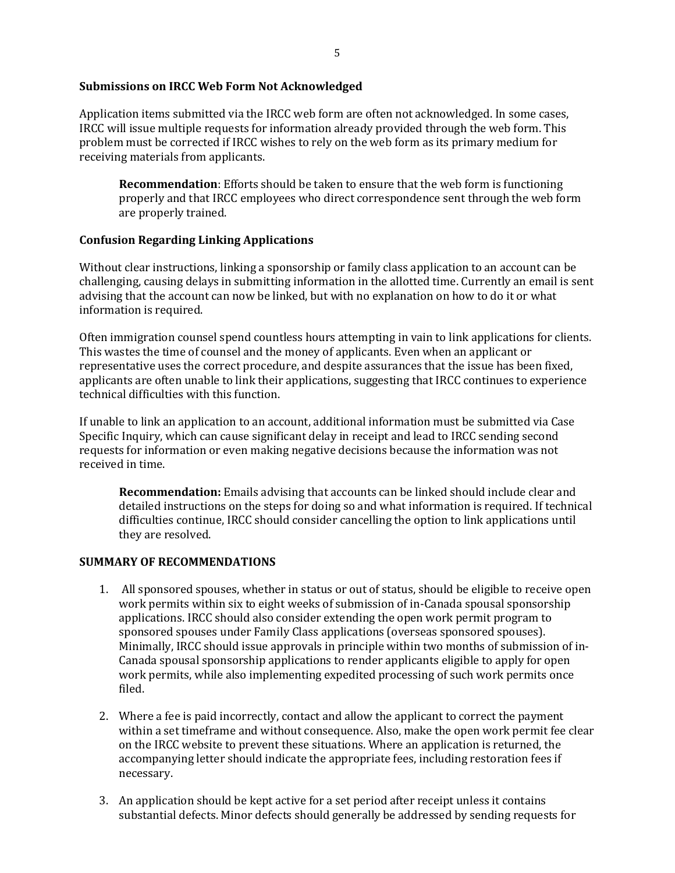### **Submissions on IRCC Web Form Not Acknowledged**

Application items submitted via the IRCC web form are often not acknowledged. In some cases, IRCC will issue multiple requests for information already provided through the web form. This problem must be corrected if IRCC wishes to rely on the web form as its primary medium for receiving materials from applicants.

**Recommendation**: Efforts should be taken to ensure that the web form is functioning properly and that IRCC employees who direct correspondence sent through the web form are properly trained.

# **Confusion Regarding Linking Applications**

Without clear instructions, linking a sponsorship or family class application to an account can be challenging, causing delays in submitting information in the allotted time. Currently an email is sent advising that the account can now be linked, but with no explanation on how to do it or what information is required.

Often immigration counsel spend countless hours attempting in vain to link applications for clients. This wastes the time of counsel and the money of applicants. Even when an applicant or representative uses the correct procedure, and despite assurances that the issue has been fixed, applicants are often unable to link their applications, suggesting that IRCC continues to experience technical difficulties with this function.

If unable to link an application to an account, additional information must be submitted via Case Specific Inquiry, which can cause significant delay in receipt and lead to IRCC sending second requests for information or even making negative decisions because the information was not received in time.

**Recommendation:** Emails advising that accounts can be linked should include clear and detailed instructions on the steps for doing so and what information is required. If technical difficulties continue, IRCC should consider cancelling the option to link applications until they are resolved.

### **SUMMARY OF RECOMMENDATIONS**

- 1. All sponsored spouses, whether in status or out of status, should be eligible to receive open work permits within six to eight weeks of submission of in-Canada spousal sponsorship applications. IRCC should also consider extending the open work permit program to sponsored spouses under Family Class applications (overseas sponsored spouses). Minimally, IRCC should issue approvals in principle within two months of submission of in-Canada spousal sponsorship applications to render applicants eligible to apply for open work permits, while also implementing expedited processing of such work permits once filed.
- 2. Where a fee is paid incorrectly, contact and allow the applicant to correct the payment within a set timeframe and without consequence. Also, make the open work permit fee clear on the IRCC website to prevent these situations. Where an application is returned, the accompanying letter should indicate the appropriate fees, including restoration fees if necessary.
- 3. An application should be kept active for a set period after receipt unless it contains substantial defects. Minor defects should generally be addressed by sending requests for